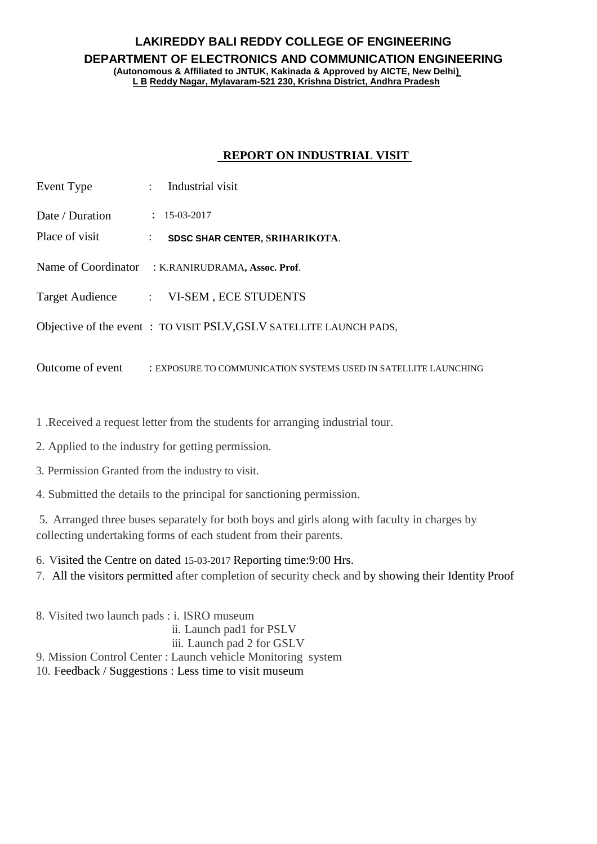## **LAKIREDDY BALI REDDY COLLEGE OF ENGINEERING DEPARTMENT OF ELECTRONICS AND COMMUNICATION ENGINEERING (Autonomous & Affiliated to JNTUK, Kakinada & Approved by AICTE, New Delhi) L B Reddy Nagar, Mylavaram-521 230, Krishna District, Andhra Pradesh**

## **REPORT ON INDUSTRIAL VISIT**

| Event Type       | $:$ Industrial visit                                               |
|------------------|--------------------------------------------------------------------|
| Date / Duration  | $: 15-03-2017$                                                     |
| Place of visit   | <b>SDSC SHAR CENTER, SRIHARIKOTA.</b>                              |
|                  | Name of Coordinator : K.RANIRUDRAMA, Assoc. Prof.                  |
|                  | Target Audience : VI-SEM, ECE STUDENTS                             |
|                  | Objective of the event: TO VISIT PSLV, GSLV SATELLITE LAUNCH PADS, |
| Outcome of event | : EXPOSURE TO COMMUNICATION SYSTEMS USED IN SATELLITE LAUNCHING    |

1 .Received a request letter from the students for arranging industrial tour.

2. Applied to the industry for getting permission.

3. Permission Granted from the industry to visit.

4. Submitted the details to the principal for sanctioning permission.

5. Arranged three buses separately for both boys and girls along with faculty in charges by collecting undertaking forms of each student from their parents.

6. Visited the Centre on dated 15-03-2017 Reporting time:9:00 Hrs.

7. All the visitors permitted after completion of security check and by showing their Identity Proof

8. Visited two launch pads : i. ISRO museum ii. Launch pad1 for PSLV iii. Launch pad 2 for GSLV 9. Mission Control Center : Launch vehicle Monitoring system 10. Feedback / Suggestions : Less time to visit museum